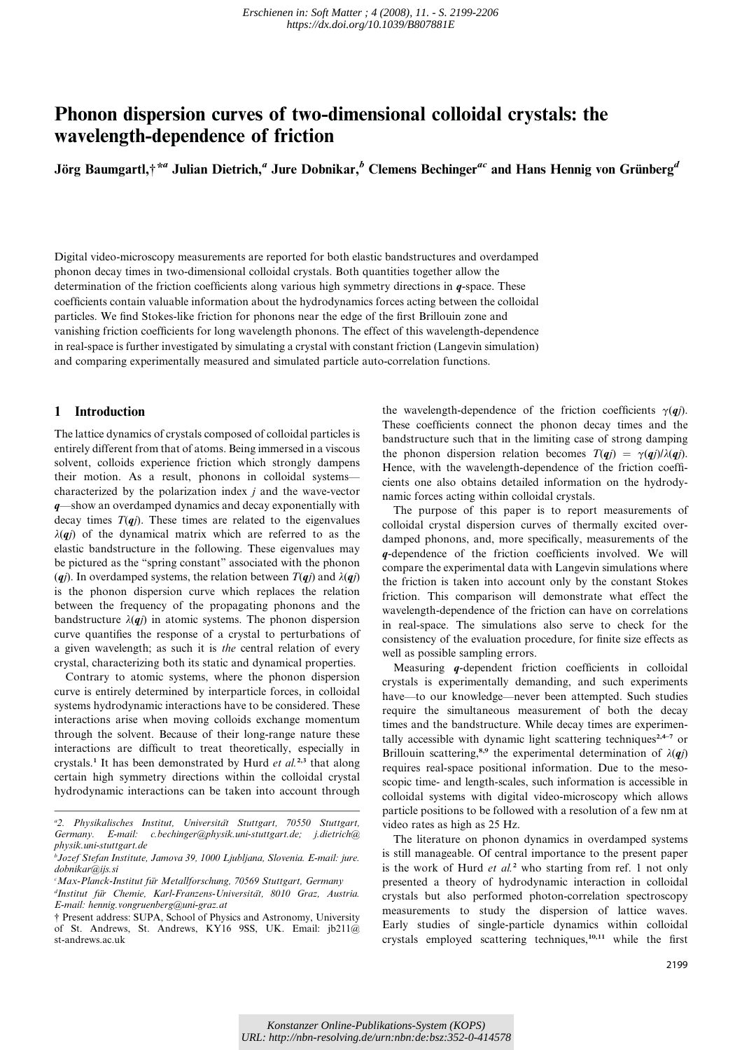# Phonon dispersion curves of two-dimensional colloidal crystals: the wavelength-dependence of friction

Jörg Baumgartl, $\dot{\tau}^{*a}$  Julian Dietrich,<sup>a</sup> Jure Dobnikar,<sup>b</sup> Clemens Bechinger<sup>ac</sup> and Hans Hennig von Grünberg<sup>d</sup>

Digital video-microscopy measurements are reported for both elastic bandstructures and overdamped phonon decay times in two-dimensional colloidal crystals. Both quantities together allow the determination of the friction coefficients along various high symmetry directions in  $q$ -space. These coefficients contain valuable information about the hydrodynamics forces acting between the colloidal particles. We find Stokes-like friction for phonons near the edge of the first Brillouin zone and vanishing friction coefficients for long wavelength phonons. The effect of this wavelength-dependence in real-space is further investigated by simulating a crystal with constant friction (Langevin simulation) and comparing experimentally measured and simulated particle auto-correlation functions.

# 1 Introduction

The lattice dynamics of crystals composed of colloidal particles is entirely different from that of atoms. Being immersed in a viscous solvent, colloids experience friction which strongly dampens their motion. As a result, phonons in colloidal systems characterized by the polarization index  $j$  and the wave-vector q—show an overdamped dynamics and decay exponentially with decay times  $T(qj)$ . These times are related to the eigenvalues  $\lambda(qj)$  of the dynamical matrix which are referred to as the elastic bandstructure in the following. These eigenvalues may be pictured as the ''spring constant'' associated with the phonon (qj). In overdamped systems, the relation between  $T(qj)$  and  $\lambda(qj)$ is the phonon dispersion curve which replaces the relation between the frequency of the propagating phonons and the bandstructure  $\lambda(qj)$  in atomic systems. The phonon dispersion curve quantifies the response of a crystal to perturbations of a given wavelength; as such it is the central relation of every crystal, characterizing both its static and dynamical properties.

Contrary to atomic systems, where the phonon dispersion curve is entirely determined by interparticle forces, in colloidal systems hydrodynamic interactions have to be considered. These interactions arise when moving colloids exchange momentum through the solvent. Because of their long-range nature these interactions are difficult to treat theoretically, especially in crystals.<sup>1</sup> It has been demonstrated by Hurd *et al.*<sup>2,3</sup> that along certain high symmetry directions within the colloidal crystal hydrodynamic interactions can be taken into account through

<sup>c</sup>Max-Planck-Institut für Metallforschung, 70569 Stuttgart, Germany

the wavelength-dependence of the friction coefficients  $\gamma(qj)$ . These coefficients connect the phonon decay times and the bandstructure such that in the limiting case of strong damping the phonon dispersion relation becomes  $T(qj) = \gamma(qj)/\lambda(qj)$ . Hence, with the wavelength-dependence of the friction coefficients one also obtains detailed information on the hydrodynamic forces acting within colloidal crystals.

The purpose of this paper is to report measurements of colloidal crystal dispersion curves of thermally excited overdamped phonons, and, more specifically, measurements of the q-dependence of the friction coefficients involved. We will compare the experimental data with Langevin simulations where the friction is taken into account only by the constant Stokes friction. This comparison will demonstrate what effect the wavelength-dependence of the friction can have on correlations in real-space. The simulations also serve to check for the consistency of the evaluation procedure, for finite size effects as well as possible sampling errors.

Measuring q-dependent friction coefficients in colloidal crystals is experimentally demanding, and such experiments have—to our knowledge—never been attempted. Such studies require the simultaneous measurement of both the decay times and the bandstructure. While decay times are experimentally accessible with dynamic light scattering techniques<sup>2,4–7</sup> or Brillouin scattering,<sup>8,9</sup> the experimental determination of  $\lambda(qj)$ requires real-space positional information. Due to the mesoscopic time- and length-scales, such information is accessible in colloidal systems with digital video-microscopy which allows particle positions to be followed with a resolution of a few nm at video rates as high as 25 Hz.

The literature on phonon dynamics in overdamped systems is still manageable. Of central importance to the present paper is the work of Hurd et  $al<sup>2</sup>$  who starting from ref. 1 not only presented a theory of hydrodynamic interaction in colloidal crystals but also performed photon-correlation spectroscopy measurements to study the dispersion of lattice waves. Early studies of single-particle dynamics within colloidal crystals employed scattering techniques,10,11 while the first

<sup>&</sup>lt;sup>a</sup>2. Physikalisches Institut, Universität Stuttgart, 70550 Stuttgart, Germany. E-mail: c.bechinger@physik.uni-stuttgart.de; j.dietrich@ physik.uni-stuttgart.de

b Jozef Stefan Institute, Jamova 39, 1000 Ljubljana, Slovenia. E-mail: jure. dobnikar@iis.si

<sup>&</sup>lt;sup>d</sup>Institut für Chemie, Karl-Franzens-Universität, 8010 Graz, Austria. E-mail: hennig.vongruenberg@uni-graz.at

<sup>†</sup> Present address: SUPA, School of Physics and Astronomy, University of St. Andrews, St. Andrews, KY16 9SS, UK. Email: jb211@ st-andrews.ac.uk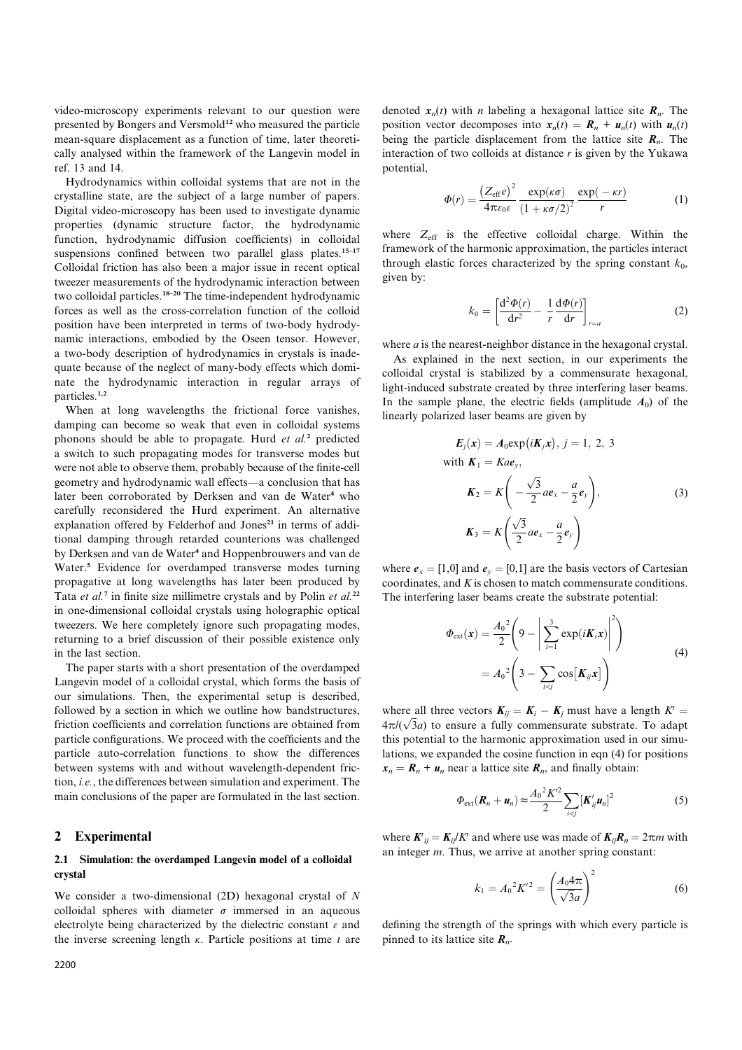video-microscopy experiments relevant to our question were presented by Bongers and Versmold<sup>12</sup> who measured the particle mean-square displacement as a function of time, later theoretically analysed within the framework of the Langevin model in ref. 13 and 14.

Hydrodynamics within colloidal systems that are not in the crystalline state, are the subject of a large number of papers. Digital video-microscopy has been used to investigate dynamic properties (dynamic structure factor, the hydrodynamic function, hydrodynamic diffusion coefficients) in colloidal suspensions confined between two parallel glass plates.<sup>15-17</sup> Colloidal friction has also been a major issue in recent optical tweezer measurements of the hydrodynamic interaction between two colloidal particles.18–20 The time-independent hydrodynamic forces as well as the cross-correlation function of the colloid position have been interpreted in terms of two-body hydrodynamic interactions, embodied by the Oseen tensor. However, a two-body description of hydrodynamics in crystals is inadequate because of the neglect of many-body effects which dominate the hydrodynamic interaction in regular arrays of particles.1,2

When at long wavelengths the frictional force vanishes, damping can become so weak that even in colloidal systems phonons should be able to propagate. Hurd et al.<sup>2</sup> predicted a switch to such propagating modes for transverse modes but were not able to observe them, probably because of the finite-cell geometry and hydrodynamic wall effects—a conclusion that has later been corroborated by Derksen and van de Water<sup>4</sup> who carefully reconsidered the Hurd experiment. An alternative explanation offered by Felderhof and Jones<sup>21</sup> in terms of additional damping through retarded counterions was challenged by Derksen and van de Water<sup>4</sup> and Hoppenbrouwers and van de Water.<sup>5</sup> Evidence for overdamped transverse modes turning propagative at long wavelengths has later been produced by Tata et al.<sup>7</sup> in finite size millimetre crystals and by Polin et al.<sup>22</sup> in one-dimensional colloidal crystals using holographic optical tweezers. We here completely ignore such propagating modes, returning to a brief discussion of their possible existence only in the last section.

The paper starts with a short presentation of the overdamped Langevin model of a colloidal crystal, which forms the basis of our simulations. Then, the experimental setup is described, followed by a section in which we outline how bandstructures, friction coefficients and correlation functions are obtained from particle configurations. We proceed with the coefficients and the particle auto-correlation functions to show the differences between systems with and without wavelength-dependent friction, i.e., the differences between simulation and experiment. The main conclusions of the paper are formulated in the last section.

# 2 Experimental

# 2.1 Simulation: the overdamped Langevin model of a colloidal crystal

We consider a two-dimensional (2D) hexagonal crystal of N colloidal spheres with diameter  $\sigma$  immersed in an aqueous electrolyte being characterized by the dielectric constant  $\varepsilon$  and the inverse screening length  $\kappa$ . Particle positions at time  $t$  are

denoted  $x_n(t)$  with *n* labeling a hexagonal lattice site  $R_n$ . The position vector decomposes into  $x_n(t) = \mathbf{R}_n + \mathbf{u}_n(t)$  with  $\mathbf{u}_n(t)$ being the particle displacement from the lattice site  $R_n$ . The interaction of two colloids at distance  $r$  is given by the Yukawa potential,

$$
\Phi(r) = \frac{\left(Z_{\text{eff}}e\right)^2}{4\pi\varepsilon_0\varepsilon} \frac{\exp(\kappa\sigma)}{\left(1 + \kappa\sigma/2\right)^2} \frac{\exp(-\kappa r)}{r} \tag{1}
$$

where  $Z_{\text{eff}}$  is the effective colloidal charge. Within the framework of the harmonic approximation, the particles interact through elastic forces characterized by the spring constant  $k_0$ , given by:

$$
k_0 = \left[\frac{\mathrm{d}^2 \Phi(r)}{\mathrm{d}r^2} - \frac{1}{r} \frac{\mathrm{d} \Phi(r)}{\mathrm{d}r}\right]_{r=a} \tag{2}
$$

where *a* is the nearest-neighbor distance in the hexagonal crystal.

As explained in the next section, in our experiments the colloidal crystal is stabilized by a commensurate hexagonal, light-induced substrate created by three interfering laser beams. In the sample plane, the electric fields (amplitude  $A_0$ ) of the linearly polarized laser beams are given by

$$
E_j(x) = A_0 \exp(iK_jx), j = 1, 2, 3
$$
  
with  $K_1 = Kae_y$ ,  

$$
K_2 = K\left(-\frac{\sqrt{3}}{2}ae_x - \frac{a}{2}e_y\right),
$$

$$
K_3 = K\left(\frac{\sqrt{3}}{2}ae_x - \frac{a}{2}e_y\right)
$$
(3)

where  $e_x = [1,0]$  and  $e_y = [0,1]$  are the basis vectors of Cartesian coordinates, and K is chosen to match commensurate conditions. The interfering laser beams create the substrate potential:

$$
\Phi_{\text{ext}}(\mathbf{x}) = \frac{A_0^2}{2} \left( 9 - \left| \sum_{i=1}^3 \exp(i\mathbf{K}_i \mathbf{x}) \right|^2 \right)
$$
  
=  $A_0^2 \left( 3 - \sum_{i < j} \cos[\mathbf{K}_{ij} \mathbf{x}] \right)$  (4)

where all three vectors  $K_{ij} = K_i - K_j$  must have a length  $K' =$  $4\pi/(\sqrt{3}a)$  to ensure a fully commensurate substrate. To adapt this potential to the harmonic approximation used in our simulations, we expanded the cosine function in eqn (4) for positions  $x_n = R_n + u_n$  near a lattice site  $R_n$ , and finally obtain:

$$
\Phi_{\text{ext}}(\boldsymbol{R}_n + \boldsymbol{u}_n) \approx \frac{A_0^2 K'^2}{2} \sum_{i < j} \left[ \boldsymbol{K}_{ij}' \boldsymbol{u}_n \right]^2 \tag{5}
$$

where  $K'_{ij} = K_{ij}/K'$  and where use was made of  $K_{ij}R_n = 2\pi m$  with an integer m. Thus, we arrive at another spring constant:

$$
k_1 = A_0^2 K'^2 = \left(\frac{A_0 4\pi}{\sqrt{3}a}\right)^2 \tag{6}
$$

defining the strength of the springs with which every particle is pinned to its lattice site  $R_n$ .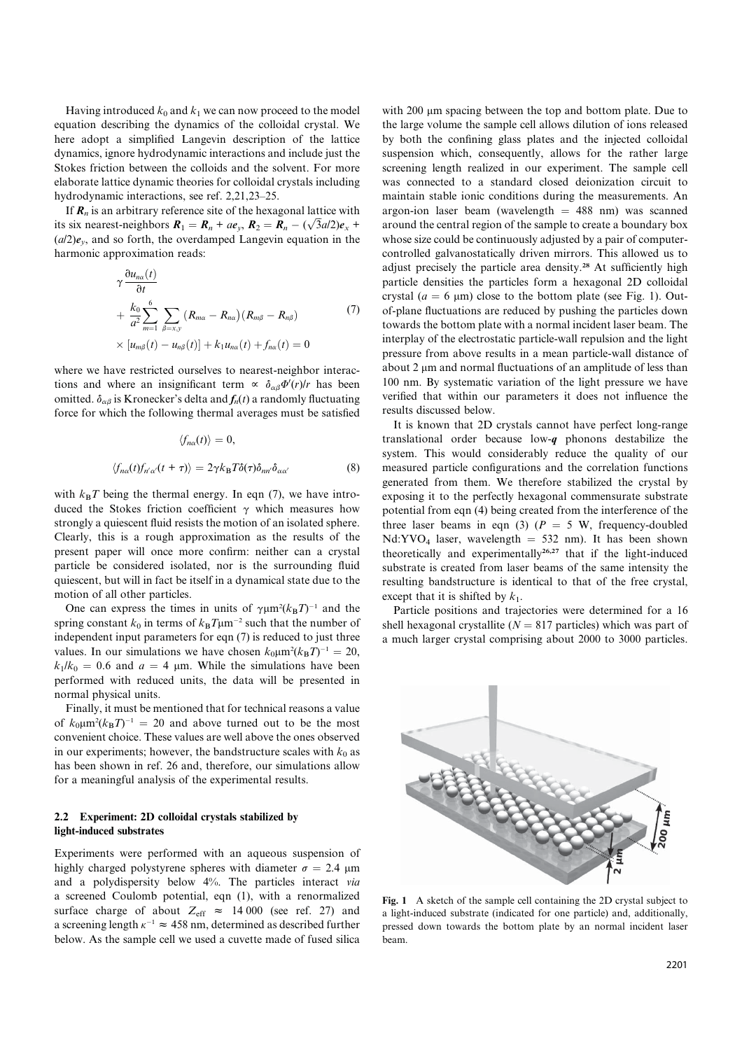Having introduced  $k_0$  and  $k_1$  we can now proceed to the model equation describing the dynamics of the colloidal crystal. We here adopt a simplified Langevin description of the lattice dynamics, ignore hydrodynamic interactions and include just the Stokes friction between the colloids and the solvent. For more elaborate lattice dynamic theories for colloidal crystals including hydrodynamic interactions, see ref. 2,21,23–25.

If  $R_n$  is an arbitrary reference site of the hexagonal lattice with its six nearest-neighbors  $R_1 = R_n + a e_y$ ,  $R_2 = R_n - (\sqrt{3}a/2)e_x$  $(a/2)e<sub>v</sub>$ , and so forth, the overdamped Langevin equation in the harmonic approximation reads:

$$
\gamma \frac{\partial u_{n\alpha}(t)}{\partial t} + \frac{k_0}{a^2} \sum_{m=1}^6 \sum_{\beta=x,y} (R_{m\alpha} - R_{n\alpha}) (R_{m\beta} - R_{n\beta}) \qquad (7)
$$
  
 
$$
\times [u_{m\beta}(t) - u_{n\beta}(t)] + k_1 u_{n\alpha}(t) + f_{n\alpha}(t) = 0
$$

where we have restricted ourselves to nearest-neighbor interactions and where an insignificant term  $\propto \delta_{\alpha\beta}\Phi'(r)/r$  has been omitted.  $\delta_{\alpha\beta}$  is Kronecker's delta and  $f_n(t)$  a randomly fluctuating force for which the following thermal averages must be satisfied

$$
\langle f_{n\alpha}(t) \rangle = 0,
$$
  

$$
\langle f_{n\alpha}(t) f_{n'\alpha'}(t+\tau) \rangle = 2\gamma k_B T \delta(\tau) \delta_{nn'} \delta_{\alpha\alpha'}
$$
 (8)

with  $k_BT$  being the thermal energy. In eqn (7), we have introduced the Stokes friction coefficient  $\gamma$  which measures how strongly a quiescent fluid resists the motion of an isolated sphere. Clearly, this is a rough approximation as the results of the present paper will once more confirm: neither can a crystal particle be considered isolated, nor is the surrounding fluid quiescent, but will in fact be itself in a dynamical state due to the motion of all other particles.

One can express the times in units of  $\gamma \mu m^2 (k_B T)^{-1}$  and the spring constant  $k_0$  in terms of  $k_B T \mu m^{-2}$  such that the number of independent input parameters for eqn (7) is reduced to just three values. In our simulations we have chosen  $k_0 \mu m^2 (k_B T)^{-1} = 20$ ,  $k_1/k_0 = 0.6$  and  $a = 4$  µm. While the simulations have been performed with reduced units, the data will be presented in normal physical units.

Finally, it must be mentioned that for technical reasons a value of  $k_0 \mu m^2 (k_B T)^{-1} = 20$  and above turned out to be the most convenient choice. These values are well above the ones observed in our experiments; however, the bandstructure scales with  $k_0$  as has been shown in ref. 26 and, therefore, our simulations allow for a meaningful analysis of the experimental results.

## 2.2 Experiment: 2D colloidal crystals stabilized by light-induced substrates

Experiments were performed with an aqueous suspension of highly charged polystyrene spheres with diameter  $\sigma = 2.4 \text{ }\mu\text{m}$ and a polydispersity below 4%. The particles interact via a screened Coulomb potential, eqn (1), with a renormalized surface charge of about  $Z_{\text{eff}} \approx 14000$  (see ref. 27) and a screening length  $\kappa^{-1} \approx 458$  nm, determined as described further below. As the sample cell we used a cuvette made of fused silica

with 200 µm spacing between the top and bottom plate. Due to the large volume the sample cell allows dilution of ions released by both the confining glass plates and the injected colloidal suspension which, consequently, allows for the rather large screening length realized in our experiment. The sample cell was connected to a standard closed deionization circuit to maintain stable ionic conditions during the measurements. An argon-ion laser beam (wavelength  $= 488$  nm) was scanned around the central region of the sample to create a boundary box whose size could be continuously adjusted by a pair of computercontrolled galvanostatically driven mirrors. This allowed us to adjust precisely the particle area density.<sup>28</sup> At sufficiently high particle densities the particles form a hexagonal 2D colloidal crystal ( $a = 6 \mu m$ ) close to the bottom plate (see Fig. 1). Outof-plane fluctuations are reduced by pushing the particles down towards the bottom plate with a normal incident laser beam. The interplay of the electrostatic particle-wall repulsion and the light pressure from above results in a mean particle-wall distance of about 2 um and normal fluctuations of an amplitude of less than 100 nm. By systematic variation of the light pressure we have verified that within our parameters it does not influence the results discussed below.

It is known that 2D crystals cannot have perfect long-range translational order because low-q phonons destabilize the system. This would considerably reduce the quality of our measured particle configurations and the correlation functions generated from them. We therefore stabilized the crystal by exposing it to the perfectly hexagonal commensurate substrate potential from eqn (4) being created from the interference of the three laser beams in eqn (3) ( $P = 5$  W, frequency-doubled Nd:YVO<sub>4</sub> laser, wavelength  $= 532$  nm). It has been shown theoretically and experimentally<sup>26,27</sup> that if the light-induced substrate is created from laser beams of the same intensity the resulting bandstructure is identical to that of the free crystal, except that it is shifted by  $k_1$ .

Particle positions and trajectories were determined for a 16 shell hexagonal crystallite ( $N = 817$  particles) which was part of a much larger crystal comprising about 2000 to 3000 particles.



Fig. 1 A sketch of the sample cell containing the 2D crystal subject to a light-induced substrate (indicated for one particle) and, additionally, pressed down towards the bottom plate by an normal incident laser beam.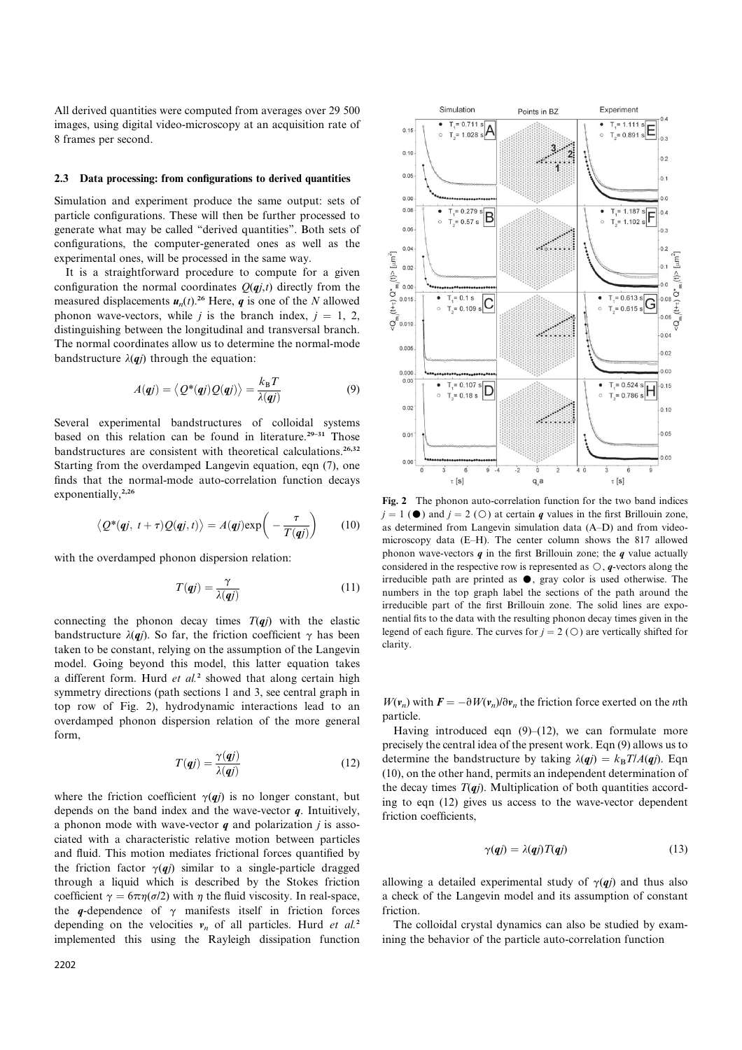All derived quantities were computed from averages over 29 500 images, using digital video-microscopy at an acquisition rate of 8 frames per second.

#### 2.3 Data processing: from configurations to derived quantities

Simulation and experiment produce the same output: sets of particle configurations. These will then be further processed to generate what may be called ''derived quantities''. Both sets of configurations, the computer-generated ones as well as the experimental ones, will be processed in the same way.

It is a straightforward procedure to compute for a given configuration the normal coordinates  $Q(qj,t)$  directly from the measured displacements  $u_n(t)$ <sup>26</sup> Here, q is one of the N allowed phonon wave-vectors, while j is the branch index,  $j = 1, 2,$ distinguishing between the longitudinal and transversal branch. The normal coordinates allow us to determine the normal-mode bandstructure  $\lambda(qj)$  through the equation:

$$
A(\boldsymbol{q}j) = \langle Q^*(\boldsymbol{q}j)Q(\boldsymbol{q}j)\rangle = \frac{k_B T}{\lambda(\boldsymbol{q}j)}\tag{9}
$$

Several experimental bandstructures of colloidal systems based on this relation can be found in literature.<sup>29-31</sup> Those bandstructures are consistent with theoretical calculations.<sup>26,32</sup> Starting from the overdamped Langevin equation, eqn (7), one finds that the normal-mode auto-correlation function decays exponentially,<sup>2,26</sup>

$$
\langle Q^*(\mathbf{q}j,\ t+\tau)Q(\mathbf{q}j,t)\rangle = A(\mathbf{q}j)\exp\left(-\frac{\tau}{T(\mathbf{q}j)}\right) \qquad (10)
$$

with the overdamped phonon dispersion relation:

$$
T(qj) = \frac{\gamma}{\lambda(qj)}\tag{11}
$$

connecting the phonon decay times  $T(qj)$  with the elastic bandstructure  $\lambda(qj)$ . So far, the friction coefficient  $\gamma$  has been taken to be constant, relying on the assumption of the Langevin model. Going beyond this model, this latter equation takes a different form. Hurd  $et$   $al$ <sup>2</sup> showed that along certain high symmetry directions (path sections 1 and 3, see central graph in top row of Fig. 2), hydrodynamic interactions lead to an overdamped phonon dispersion relation of the more general form,

$$
T(\mathbf{q}j) = \frac{\gamma(\mathbf{q}j)}{\lambda(\mathbf{q}j)}\tag{12}
$$

where the friction coefficient  $\gamma(qj)$  is no longer constant, but depends on the band index and the wave-vector  $q$ . Intuitively, a phonon mode with wave-vector  $q$  and polarization  $j$  is associated with a characteristic relative motion between particles and fluid. This motion mediates frictional forces quantified by the friction factor  $\gamma(qj)$  similar to a single-particle dragged through a liquid which is described by the Stokes friction coefficient  $\gamma = 6\pi \eta(\sigma/2)$  with  $\eta$  the fluid viscosity. In real-space, the q-dependence of  $\gamma$  manifests itself in friction forces depending on the velocities  $v_n$  of all particles. Hurd et al.<sup>2</sup> implemented this using the Rayleigh dissipation function



Fig. 2 The phonon auto-correlation function for the two band indices  $j = 1$  ( $\bullet$ ) and  $j = 2$  ( $\circ$ ) at certain q values in the first Brillouin zone, as determined from Langevin simulation data (A–D) and from videomicroscopy data (E–H). The center column shows the 817 allowed phonon wave-vectors  $q$  in the first Brillouin zone; the  $q$  value actually considered in the respective row is represented as  $\circ$ , q-vectors along the irreducible path are printed as  $\bullet$ , gray color is used otherwise. The numbers in the top graph label the sections of the path around the irreducible part of the first Brillouin zone. The solid lines are exponential fits to the data with the resulting phonon decay times given in the legend of each figure. The curves for  $j = 2$  ( $\bigcirc$ ) are vertically shifted for clarity.

 $W(\mathbf{v}_n)$  with  $\mathbf{F} = -\partial W(\mathbf{v}_n)/\partial \mathbf{v}_n$  the friction force exerted on the *n*th particle.

Having introduced eqn  $(9)$ – $(12)$ , we can formulate more precisely the central idea of the present work. Eqn (9) allows us to determine the bandstructure by taking  $\lambda(qi) = k_B T/A(qi)$ . Eqn (10), on the other hand, permits an independent determination of the decay times  $T(qj)$ . Multiplication of both quantities according to eqn (12) gives us access to the wave-vector dependent friction coefficients,

$$
\gamma(qj) = \lambda(qj)T(qj) \tag{13}
$$

allowing a detailed experimental study of  $\gamma(qj)$  and thus also a check of the Langevin model and its assumption of constant friction.

The colloidal crystal dynamics can also be studied by examining the behavior of the particle auto-correlation function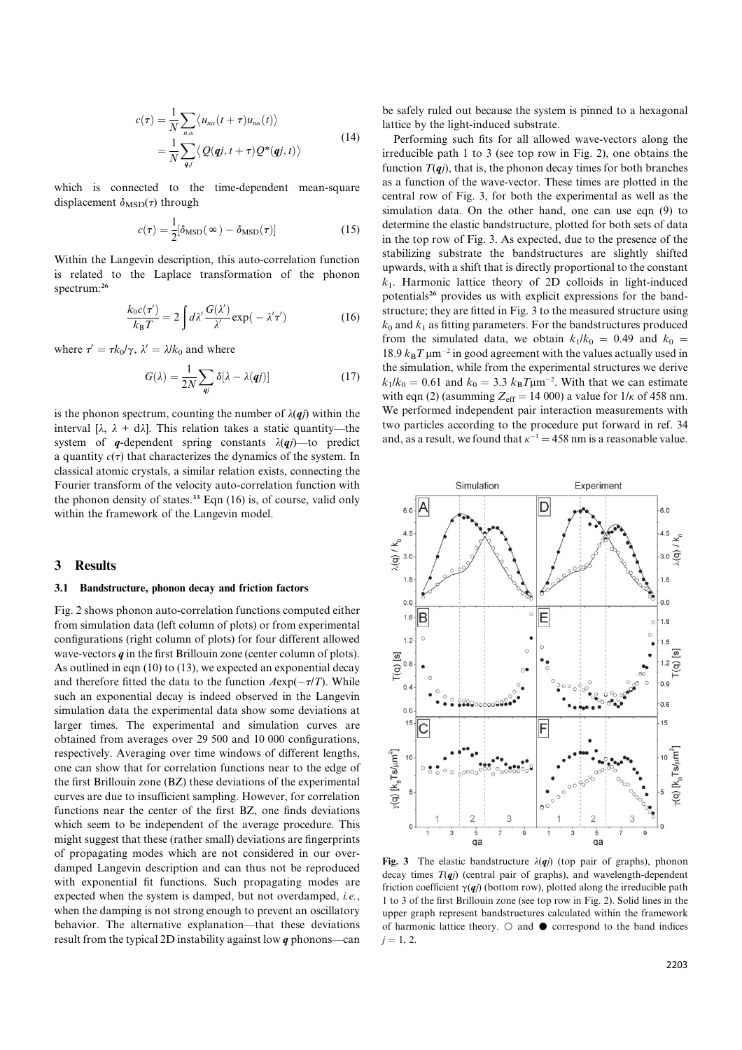$$
c(\tau) = \frac{1}{N} \sum_{n,\alpha} \langle u_{n\alpha}(t+\tau)u_{n\alpha}(t) \rangle
$$
  
= 
$$
\frac{1}{N} \sum_{q,j} \langle Q(qj, t+\tau)Q^*(qj, t) \rangle
$$
 (14)

which is connected to the time-dependent mean-square displacement  $\delta_{\text{MSD}}(\tau)$  through

$$
c(\tau) = \frac{1}{2} [\delta_{\text{MSD}}(\infty) - \delta_{\text{MSD}}(\tau)] \tag{15}
$$

Within the Langevin description, this auto-correlation function is related to the Laplace transformation of the phonon spectrum:<sup>26</sup>

$$
\frac{k_0 c(\tau')}{k_B T} = 2 \int d\lambda' \frac{G(\lambda')}{\lambda'} \exp(-\lambda' \tau') \tag{16}
$$

where  $\tau' = \tau k_0/\gamma$ ,  $\lambda' = \lambda/k_0$  and where

$$
G(\lambda) = \frac{1}{2N} \sum_{qj} \delta[\lambda - \lambda(qj)] \tag{17}
$$

is the phonon spectrum, counting the number of  $\lambda(qj)$  within the interval [ $\lambda$ ,  $\lambda$  + d $\lambda$ ]. This relation takes a static quantity—the system of q-dependent spring constants  $\lambda(qj)$ —to predict a quantity  $c(\tau)$  that characterizes the dynamics of the system. In classical atomic crystals, a similar relation exists, connecting the Fourier transform of the velocity auto-correlation function with the phonon density of states.<sup>33</sup> Eqn  $(16)$  is, of course, valid only within the framework of the Langevin model.

#### 3 Results

#### 3.1 Bandstructure, phonon decay and friction factors

Fig. 2 shows phonon auto-correlation functions computed either from simulation data (left column of plots) or from experimental configurations (right column of plots) for four different allowed wave-vectors  $q$  in the first Brillouin zone (center column of plots). As outlined in eqn (10) to (13), we expected an exponential decay and therefore fitted the data to the function  $A \exp(-\tau/T)$ . While such an exponential decay is indeed observed in the Langevin simulation data the experimental data show some deviations at larger times. The experimental and simulation curves are obtained from averages over 29 500 and 10 000 configurations, respectively. Averaging over time windows of different lengths, one can show that for correlation functions near to the edge of the first Brillouin zone (BZ) these deviations of the experimental curves are due to insufficient sampling. However, for correlation functions near the center of the first BZ, one finds deviations which seem to be independent of the average procedure. This might suggest that these (rather small) deviations are fingerprints of propagating modes which are not considered in our overdamped Langevin description and can thus not be reproduced with exponential fit functions. Such propagating modes are expected when the system is damped, but not overdamped, *i.e.*, when the damping is not strong enough to prevent an oscillatory behavior. The alternative explanation—that these deviations result from the typical 2D instability against low  $q$  phonons—can

be safely ruled out because the system is pinned to a hexagonal lattice by the light-induced substrate.

Performing such fits for all allowed wave-vectors along the irreducible path 1 to 3 (see top row in Fig. 2), one obtains the function  $T(qj)$ , that is, the phonon decay times for both branches as a function of the wave-vector. These times are plotted in the central row of Fig. 3, for both the experimental as well as the simulation data. On the other hand, one can use eqn (9) to determine the elastic bandstructure, plotted for both sets of data in the top row of Fig. 3. As expected, due to the presence of the stabilizing substrate the bandstructures are slightly shifted upwards, with a shift that is directly proportional to the constant  $k_1$ . Harmonic lattice theory of 2D colloids in light-induced potentials<sup>26</sup> provides us with explicit expressions for the bandstructure; they are fitted in Fig. 3 to the measured structure using  $k_0$  and  $k_1$  as fitting parameters. For the bandstructures produced from the simulated data, we obtain  $k_1/k_0 = 0.49$  and  $k_0 =$ 18.9  $k_B T \mu m^{-2}$  in good agreement with the values actually used in the simulation, while from the experimental structures we derive  $k_1/k_0 = 0.61$  and  $k_0 = 3.3$   $k_B T \mu m^{-2}$ . With that we can estimate with eqn (2) (asumming  $Z_{\text{eff}} = 14000$ ) a value for  $1/\kappa$  of 458 nm. We performed independent pair interaction measurements with two particles according to the procedure put forward in ref. 34 and, as a result, we found that  $\kappa^{-1} = 458$  nm is a reasonable value.



Fig. 3 The elastic bandstructure  $\lambda(qj)$  (top pair of graphs), phonon decay times  $T(qj)$  (central pair of graphs), and wavelength-dependent friction coefficient  $\gamma(qj)$  (bottom row), plotted along the irreducible path 1 to 3 of the first Brillouin zone (see top row in Fig. 2). Solid lines in the upper graph represent bandstructures calculated within the framework of harmonic lattice theory.  $\bigcirc$  and  $\bullet$  correspond to the band indices  $i = 1, 2.$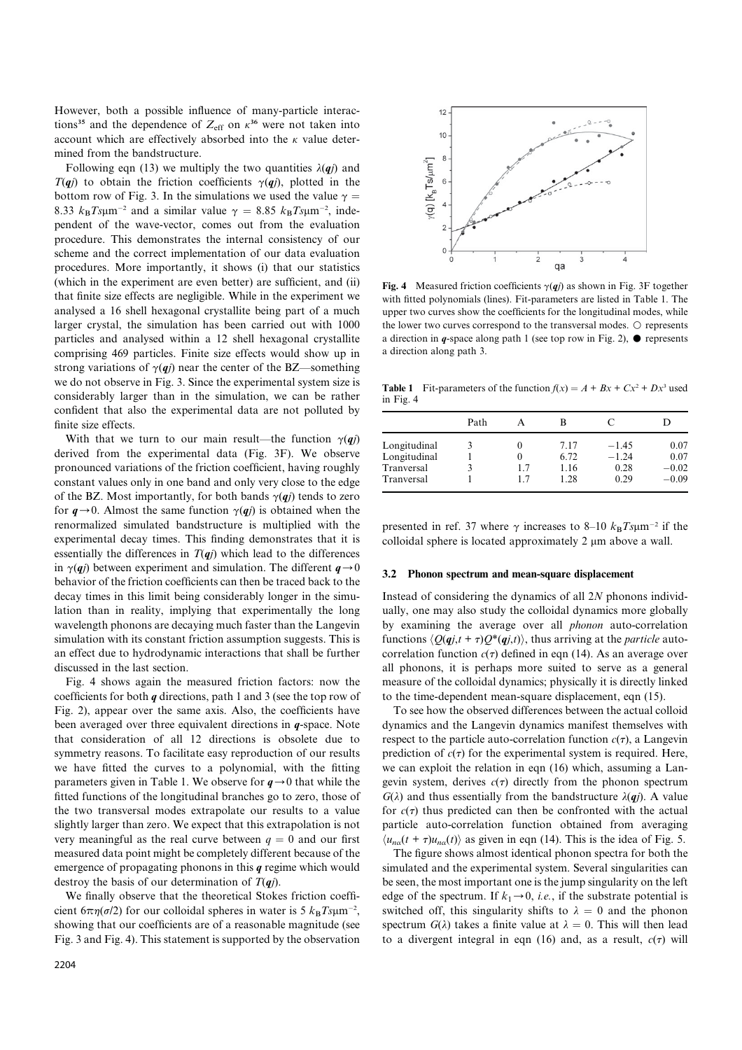However, both a possible influence of many-particle interactions<sup>35</sup> and the dependence of  $Z_{\text{eff}}$  on  $\kappa^{36}$  were not taken into account which are effectively absorbed into the  $\kappa$  value determined from the bandstructure.

Following eqn (13) we multiply the two quantities  $\lambda(qj)$  and  $T(qj)$  to obtain the friction coefficients  $\gamma(qj)$ , plotted in the bottom row of Fig. 3. In the simulations we used the value  $\gamma =$ 8.33  $k_B T s \mu m^{-2}$  and a similar value  $\gamma = 8.85 k_B T s \mu m^{-2}$ , independent of the wave-vector, comes out from the evaluation procedure. This demonstrates the internal consistency of our scheme and the correct implementation of our data evaluation procedures. More importantly, it shows (i) that our statistics (which in the experiment are even better) are sufficient, and (ii) that finite size effects are negligible. While in the experiment we analysed a 16 shell hexagonal crystallite being part of a much larger crystal, the simulation has been carried out with 1000 particles and analysed within a 12 shell hexagonal crystallite comprising 469 particles. Finite size effects would show up in strong variations of  $\gamma(qj)$  near the center of the BZ—something we do not observe in Fig. 3. Since the experimental system size is considerably larger than in the simulation, we can be rather confident that also the experimental data are not polluted by finite size effects.

With that we turn to our main result—the function  $\gamma(qj)$ derived from the experimental data (Fig. 3F). We observe pronounced variations of the friction coefficient, having roughly constant values only in one band and only very close to the edge of the BZ. Most importantly, for both bands  $\gamma(qj)$  tends to zero for  $q \rightarrow 0$ . Almost the same function  $\gamma(qj)$  is obtained when the renormalized simulated bandstructure is multiplied with the experimental decay times. This finding demonstrates that it is essentially the differences in  $T(qj)$  which lead to the differences in  $\gamma(qi)$  between experiment and simulation. The different  $q\rightarrow0$ behavior of the friction coefficients can then be traced back to the decay times in this limit being considerably longer in the simulation than in reality, implying that experimentally the long wavelength phonons are decaying much faster than the Langevin simulation with its constant friction assumption suggests. This is an effect due to hydrodynamic interactions that shall be further discussed in the last section.

Fig. 4 shows again the measured friction factors: now the coefficients for both q directions, path 1 and 3 (see the top row of Fig. 2), appear over the same axis. Also, the coefficients have been averaged over three equivalent directions in q-space. Note that consideration of all 12 directions is obsolete due to symmetry reasons. To facilitate easy reproduction of our results we have fitted the curves to a polynomial, with the fitting parameters given in Table 1. We observe for  $q \rightarrow 0$  that while the fitted functions of the longitudinal branches go to zero, those of the two transversal modes extrapolate our results to a value slightly larger than zero. We expect that this extrapolation is not very meaningful as the real curve between  $q = 0$  and our first measured data point might be completely different because of the emergence of propagating phonons in this  $q$  regime which would destroy the basis of our determination of  $T(\boldsymbol{q})$ .

We finally observe that the theoretical Stokes friction coefficient  $6\pi\eta(\sigma/2)$  for our colloidal spheres in water is 5  $k_B Ts \mu m^{-2}$ , showing that our coefficients are of a reasonable magnitude (see Fig. 3 and Fig. 4). This statement is supported by the observation



Fig. 4 Measured friction coefficients  $\gamma(qj)$  as shown in Fig. 3F together with fitted polynomials (lines). Fit-parameters are listed in Table 1. The upper two curves show the coefficients for the longitudinal modes, while the lower two curves correspond to the transversal modes.  $\circ$  represents a direction in q-space along path 1 (see top row in Fig. 2),  $\bullet$  represents a direction along path 3.

**Table 1** Fit-parameters of the function  $f(x) = A + Bx + Cx^2 + Dx^3$  used in Fig. 4

|              | Path |    | В    | €       |         |
|--------------|------|----|------|---------|---------|
| Longitudinal |      |    | 7.17 | $-145$  | 0.07    |
| Longitudinal |      |    | 6.72 | $-1.24$ | 0.07    |
| Tranversal   | 3    | 17 | 1.16 | 0.28    | $-0.02$ |
| Tranversal   |      | 17 | 1 28 | 0.29    | $-0.09$ |

presented in ref. 37 where  $\gamma$  increases to 8–10  $k_B T s \mu m^{-2}$  if the colloidal sphere is located approximately  $2 \mu m$  above a wall.

#### 3.2 Phonon spectrum and mean-square displacement

Instead of considering the dynamics of all  $2N$  phonons individually, one may also study the colloidal dynamics more globally by examining the average over all phonon auto-correlation functions  $\langle Q(qj,t + \tau)Q^*(qj,t) \rangle$ , thus arriving at the *particle* autocorrelation function  $c(\tau)$  defined in eqn (14). As an average over all phonons, it is perhaps more suited to serve as a general measure of the colloidal dynamics; physically it is directly linked to the time-dependent mean-square displacement, eqn (15).

To see how the observed differences between the actual colloid dynamics and the Langevin dynamics manifest themselves with respect to the particle auto-correlation function  $c(\tau)$ , a Langevin prediction of  $c(\tau)$  for the experimental system is required. Here, we can exploit the relation in eqn (16) which, assuming a Langevin system, derives  $c(\tau)$  directly from the phonon spectrum  $G(\lambda)$  and thus essentially from the bandstructure  $\lambda(qj)$ . A value for  $c(\tau)$  thus predicted can then be confronted with the actual particle auto-correlation function obtained from averaging  $\langle u_{n\alpha}(t + \tau)u_{n\alpha}(t) \rangle$  as given in eqn (14). This is the idea of Fig. 5.

The figure shows almost identical phonon spectra for both the simulated and the experimental system. Several singularities can be seen, the most important one is the jump singularity on the left edge of the spectrum. If  $k_1 \rightarrow 0$ , *i.e.*, if the substrate potential is switched off, this singularity shifts to  $\lambda = 0$  and the phonon spectrum  $G(\lambda)$  takes a finite value at  $\lambda = 0$ . This will then lead to a divergent integral in eqn (16) and, as a result,  $c(\tau)$  will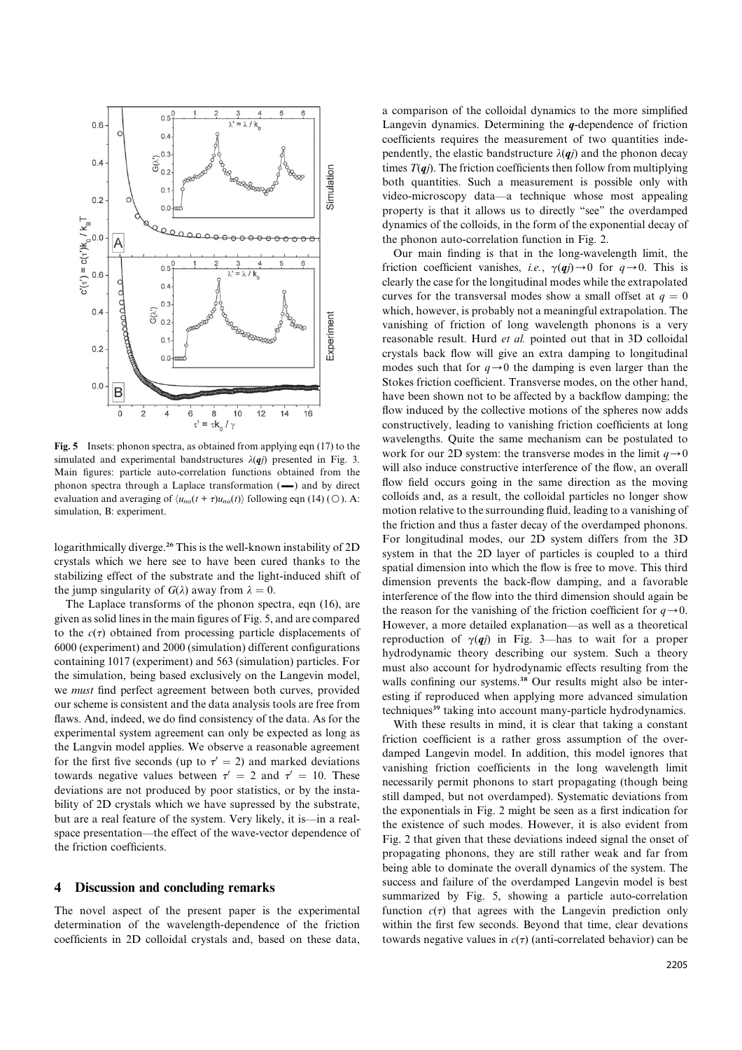

Fig. 5 Insets: phonon spectra, as obtained from applying eqn (17) to the simulated and experimental bandstructures  $\lambda(qj)$  presented in Fig. 3. Main figures: particle auto-correlation functions obtained from the phonon spectra through a Laplace transformation  $(-)$  and by direct evaluation and averaging of  $\langle u_{n\alpha}(t + \tau)u_{n\alpha}(t)\rangle$  following eqn (14) (O). A: simulation, B: experiment.

logarithmically diverge.<sup>26</sup> This is the well-known instability of 2D crystals which we here see to have been cured thanks to the stabilizing effect of the substrate and the light-induced shift of the jump singularity of  $G(\lambda)$  away from  $\lambda = 0$ .

The Laplace transforms of the phonon spectra, eqn (16), are given as solid lines in the main figures of Fig. 5, and are compared to the  $c(\tau)$  obtained from processing particle displacements of 6000 (experiment) and 2000 (simulation) different configurations containing 1017 (experiment) and 563 (simulation) particles. For the simulation, being based exclusively on the Langevin model, we must find perfect agreement between both curves, provided our scheme is consistent and the data analysis tools are free from flaws. And, indeed, we do find consistency of the data. As for the experimental system agreement can only be expected as long as the Langvin model applies. We observe a reasonable agreement for the first five seconds (up to  $\tau' = 2$ ) and marked deviations towards negative values between  $\tau' = 2$  and  $\tau' = 10$ . These deviations are not produced by poor statistics, or by the instability of 2D crystals which we have supressed by the substrate, but are a real feature of the system. Very likely, it is—in a realspace presentation—the effect of the wave-vector dependence of the friction coefficients.

#### 4 Discussion and concluding remarks

The novel aspect of the present paper is the experimental determination of the wavelength-dependence of the friction coefficients in 2D colloidal crystals and, based on these data, a comparison of the colloidal dynamics to the more simplified Langevin dynamics. Determining the  $q$ -dependence of friction coefficients requires the measurement of two quantities independently, the elastic bandstructure  $\lambda(qj)$  and the phonon decay times  $T(qi)$ . The friction coefficients then follow from multiplying both quantities. Such a measurement is possible only with video-microscopy data—a technique whose most appealing property is that it allows us to directly ''see'' the overdamped dynamics of the colloids, in the form of the exponential decay of the phonon auto-correlation function in Fig. 2.

Our main finding is that in the long-wavelength limit, the friction coefficient vanishes, *i.e.*,  $\gamma(qj) \rightarrow 0$  for  $q \rightarrow 0$ . This is clearly the case for the longitudinal modes while the extrapolated curves for the transversal modes show a small offset at  $q = 0$ which, however, is probably not a meaningful extrapolation. The vanishing of friction of long wavelength phonons is a very reasonable result. Hurd et al. pointed out that in 3D colloidal crystals back flow will give an extra damping to longitudinal modes such that for  $q \rightarrow 0$  the damping is even larger than the Stokes friction coefficient. Transverse modes, on the other hand, have been shown not to be affected by a backflow damping; the flow induced by the collective motions of the spheres now adds constructively, leading to vanishing friction coefficients at long wavelengths. Quite the same mechanism can be postulated to work for our 2D system: the transverse modes in the limit  $q\rightarrow0$ will also induce constructive interference of the flow, an overall flow field occurs going in the same direction as the moving colloids and, as a result, the colloidal particles no longer show motion relative to the surrounding fluid, leading to a vanishing of the friction and thus a faster decay of the overdamped phonons. For longitudinal modes, our 2D system differs from the 3D system in that the 2D layer of particles is coupled to a third spatial dimension into which the flow is free to move. This third dimension prevents the back-flow damping, and a favorable interference of the flow into the third dimension should again be the reason for the vanishing of the friction coefficient for  $q \rightarrow 0$ . However, a more detailed explanation—as well as a theoretical reproduction of  $\gamma(qj)$  in Fig. 3—has to wait for a proper hydrodynamic theory describing our system. Such a theory must also account for hydrodynamic effects resulting from the walls confining our systems.<sup>38</sup> Our results might also be interesting if reproduced when applying more advanced simulation techniques<sup>39</sup> taking into account many-particle hydrodynamics.

With these results in mind, it is clear that taking a constant friction coefficient is a rather gross assumption of the overdamped Langevin model. In addition, this model ignores that vanishing friction coefficients in the long wavelength limit necessarily permit phonons to start propagating (though being still damped, but not overdamped). Systematic deviations from the exponentials in Fig. 2 might be seen as a first indication for the existence of such modes. However, it is also evident from Fig. 2 that given that these deviations indeed signal the onset of propagating phonons, they are still rather weak and far from being able to dominate the overall dynamics of the system. The success and failure of the overdamped Langevin model is best summarized by Fig. 5, showing a particle auto-correlation function  $c(\tau)$  that agrees with the Langevin prediction only within the first few seconds. Beyond that time, clear devations towards negative values in  $c(\tau)$  (anti-correlated behavior) can be